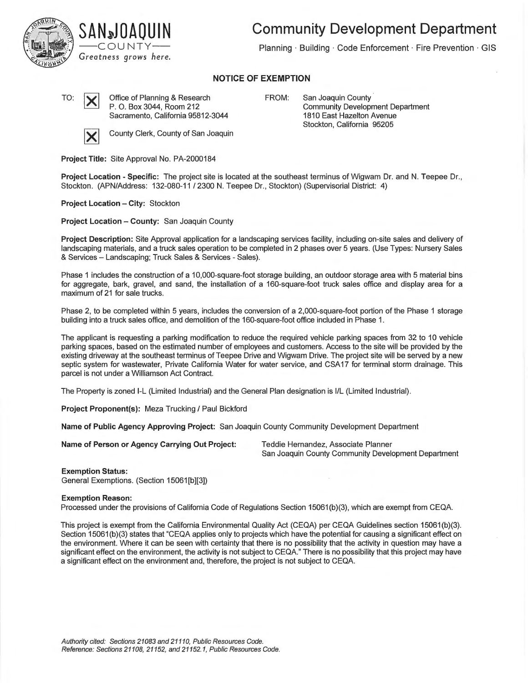



**Community Development Department** 

Planning · Building · Code Enforcement · Fire Prevention · GIS

## **NOTICE OF EXEMPTION**

TO:  $\bigvee$  Office of Planning & Research P. 0. Box 3044, Room 212 Sacramento, California 95812-3044

**County Clerk, County of San Joaquin** 

FROM: San Joaquin County Community Development Department 1810 East Hazelton Avenue Stockton, California 95205

**Project Title:** Site Approval No. PA-2000184

**Project Location - Specific:** The project site is located at the southeast terminus of Wigwam Dr. and N. Teepee Dr., Stockton. (APN/Address: 132-080-11 / 2300 N. Teepee Dr., Stockton) (Supervisorial District: 4)

**Project Location - City:** Stockton

**Project Location - County:** San Joaquin County

**Project Description:** Site Approval application for a landscaping services facility, including on-site sales and delivery of landscaping materials, and a truck sales operation to be completed in 2 phases over 5 years. (Use Types: Nursery Sales & Services - Landscaping; Truck Sales & Services - Sales).

Phase 1 includes the construction of a 10,000-square-foot storage building, an outdoor storage area with 5 material bins for aggregate, bark, gravel, and sand, the installation of a 160-square-foot truck sales office and display area for a maximum of 21 for sale trucks.

Phase 2, to be completed within 5 years, includes the conversion of a 2,000-square-foot portion of the Phase 1 storage building into a truck sales office, and demolition of the 160-square-foot office included in Phase 1.

The applicant is requesting a parking modification to reduce the required vehicle parking spaces from 32 to 10 vehicle parking spaces, based on the estimated number of employees and customers. Access to the site will be provided by the existing driveway at the southeast terminus of Teepee Drive and Wigwam Drive. The project site will be served by a new septic system for wastewater, Private California Water for water service, and CSA17 for terminal storm drainage. This parcel is not under a Williamson Act Contract.

The Property is zoned I-L (Limited Industrial) and the General Plan designation is I/L (Limited Industrial).

**Project Proponent(s):** Meza Trucking/ Paul Bickford

**Name of Public Agency Approving Project:** San Joaquin County Community Development Department

**Name of Person or Agency Carrying Out Project:** Teddie Hernandez, Associate Planner

San Joaquin County Community Development Department

**Exemption Status:**  General Exemptions. (Section 15061[b][3])

## **Exemption Reason:**

Processed under the provisions of California Code of Regulations Section 15061 (b)(3), which are exempt from CEQA.

This project is exempt from the California Environmental Quality Act (CEQA) per CEQA Guidelines section 15061 (b)(3). Section 15061(b)(3) states that "CEQA applies only to projects which have the potential for causing a significant effect on the environment. Where it can be seen with certainty that there is no possibility that the activity in question may have a significant effect on the environment, the activity is not subject to CEQA." There is no possibility that this project may have a significant effect on the environment and, therefore, the project is not subject to CEQA.